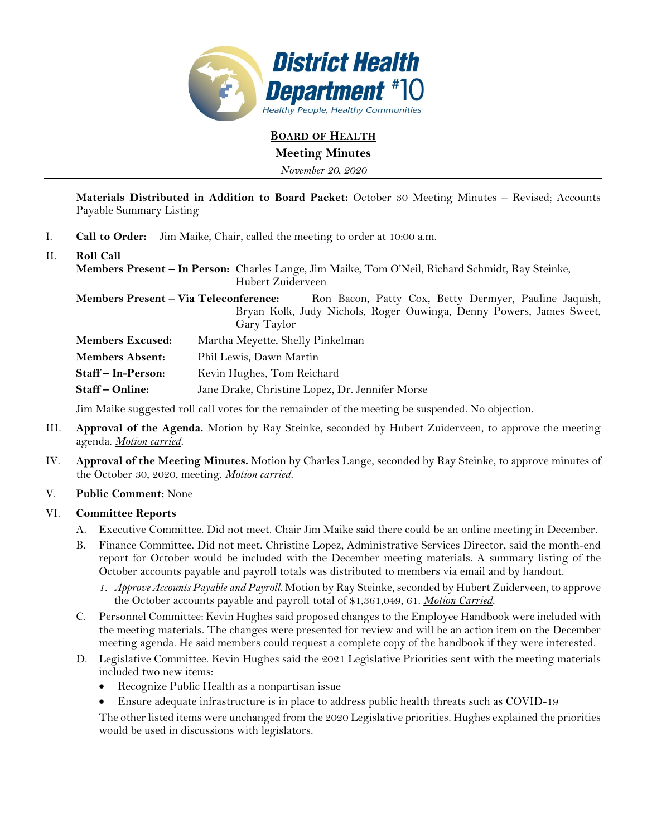

**BOARD OF HEALTH**

**Meeting Minutes** 

*November 20, 2020* 

**Materials Distributed in Addition to Board Packet:** October 30 Meeting Minutes – Revised; Accounts Payable Summary Listing

- I. **Call to Order:** Jim Maike, Chair, called the meeting to order at 10:00 a.m.
- II. **Roll Call**

**Members Present – In Person:** Charles Lange, Jim Maike, Tom O'Neil, Richard Schmidt, Ray Steinke, Hubert Zuiderveen

Members Present - Via Teleconference: Ron Bacon, Patty Cox, Betty Dermyer, Pauline Jaquish, Bryan Kolk, Judy Nichols, Roger Ouwinga, Denny Powers, James Sweet, Gary Taylor

**Members Excused:** Martha Meyette, Shelly Pinkelman

**Members Absent:** Phil Lewis, Dawn Martin

**Staff – In-Person:** Kevin Hughes, Tom Reichard

**Staff – Online:** Jane Drake, Christine Lopez, Dr. Jennifer Morse

Jim Maike suggested roll call votes for the remainder of the meeting be suspended. No objection.

- III. **Approval of the Agenda.** Motion by Ray Steinke, seconded by Hubert Zuiderveen, to approve the meeting agenda. *Motion carried.*
- IV. **Approval of the Meeting Minutes.** Motion by Charles Lange, seconded by Ray Steinke, to approve minutes of the October 30, 2020, meeting. *Motion carried.*

#### V. **Public Comment:** None

#### VI. **Committee Reports**

- A. Executive Committee. Did not meet. Chair Jim Maike said there could be an online meeting in December.
- B. Finance Committee. Did not meet. Christine Lopez, Administrative Services Director, said the month-end report for October would be included with the December meeting materials. A summary listing of the October accounts payable and payroll totals was distributed to members via email and by handout.
	- *1. Approve Accounts Payable and Payroll.* Motion by Ray Steinke, seconded by Hubert Zuiderveen, to approve the October accounts payable and payroll total of \$1,361,049, 61. *Motion Carried.*
- C. Personnel Committee: Kevin Hughes said proposed changes to the Employee Handbook were included with the meeting materials. The changes were presented for review and will be an action item on the December meeting agenda. He said members could request a complete copy of the handbook if they were interested.
- D. Legislative Committee. Kevin Hughes said the 2021 Legislative Priorities sent with the meeting materials included two new items:
	- Recognize Public Health as a nonpartisan issue
	- Ensure adequate infrastructure is in place to address public health threats such as COVID-19

The other listed items were unchanged from the 2020 Legislative priorities. Hughes explained the priorities would be used in discussions with legislators.